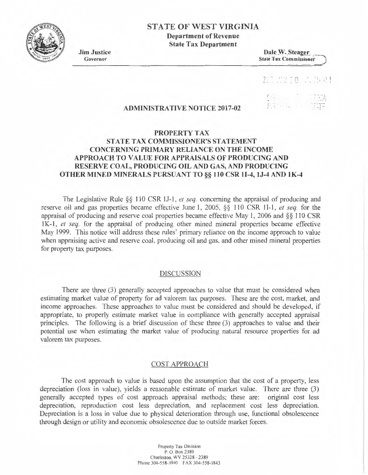

# STATE OF WEST VIRGINIA

Department of Revenue State Tax Department

Jim Justice Governor

Dale W. Steager **State Tax Commissioner** 

# 2.5. 2010 六世 21

 $\sum_{i=1}^n x_i$ 

 $\left(\frac{1}{\sqrt{2}}\right)^{1/2}$ 

# ADMINISTRATIVE NOTICE 2017-02

# PROPERTY TAX STATE TAX COMMISSIONER'S STATEMENT CONCERNING PRIMARY RELIANCE ON THE INCOME APPROACH TO VALUE FOR APPRAISALS OF PRODUCING AND RESERVE COAL, PRODUCING OIL AND GAS, AND PRODUCING OTHER MINED MINERALS PURSUANT TO§§ 110CSR11-4, lJ-4 AND lK-4

The Legislative Rule §§ 110 CSR 1J-1, *et seq.* concerning the appraisal of producing and reserve oil and gas properties became effective June 1, 2005. §§ 110 CSR 1 I-1, *et seq.* for the appraisal of producing and reserve coal properties became effective May I, 2006 and §§ 110 CSR 1 K-1, *el seq.* for the appraisal of producing other mined mineral properties became effective May 1999. This notice will address these rules' primary reliance on the income approach to value when appraising active and reserve coal. producing oil and gas, and other mined mineral properties for property tax purposes.

#### DISCUSSION

There are three (3) generally accepted approaches to value that must be considered when estimating market value of property for ad valorem tax purposes. These are the cost, market, and income approaches. These approaches to value must be considered and should be developed, if appropriate, to properly estimate market value in compliance with generally accepted appraisal principles. The following is a brief discussion of these three (3) approaches to value and their potential use when estimating the market value of producing natural resource properties for ad valorem tax purposes.

## COST APPROACH

The cost approach to value is based upon the assumption that the cost of a property, less depreciation (loss in value), yields a reasonable estimate of market value. There are three (3) generally accepted types of cost approach appraisal methods; these are: original cost less depreciation, reproduction cost less depreciation, and replacement cost less depreciation. Depreciation is a loss in value due to physical deterioration through use, functional obsolescence through design or utility and economic obsolescence due to outside market forces.

> Propeny Tax Division P. O. Box 2389 Charleston, WV 25328 - 2389 Phone 304-558-3940 FAX 304-558-1843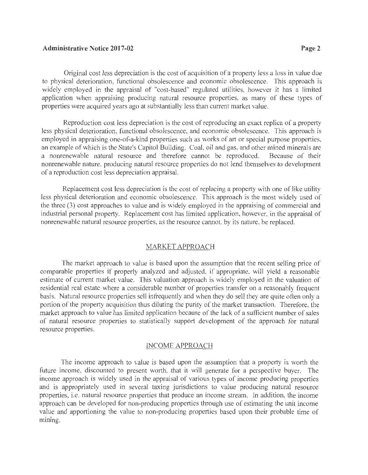### **Administrative Notice 2017-02 Page 2** Page 2

Original cost less depreciation is the cost of acquisition of a property less a loss in value due to physical deterioration, functional obsolescence and economic obsolescence. This approach is widely employed in the appraisal of "cost-based" regulated utilities, however it has a limited application when appraising producing natural resource properties, as many of these types of properties were acquired years ago at substantially less than current market value.

Reproduction cost less depreciation is the cost of reproducing an exact replica of a property less physical deterioration, functional obsolescence, and economic obsolescence. This approach is employed in appraising one-of-a-kind properties such as works of art or special purpose properties, an example of which is the State's Capitol Building. Coal, oil and gas, and other mined minerals are a nonrenewable natural resource and therefore cannot be reproduced. Because of their nonrenewable nature, producing natural resource properties do not lend themselves to development of a reproduction cost less depreciation appraisal.

Replacement cost less depreciation is the cost of replacing a property with one of like utility less physical deterioration and economic obsolescence. This approach is the most widely used of the three (3) cost approaches to value and is widely employed in the appraising of commercial and industrial personal property. Replacement cost has limited application, however, in the appraisal of nonrenewable natural resource properties, as the resource cannot, by its nature, be replaced.

### MARKET APPROACH

The market approach to value is based upon the assumption that the recent selling price of comparable properties if properly analyzed and adjusted, if appropriate, will yield a reasonable estimate of current market value. This valuation approach is widely employed in the valuation of residential real estate where a considerable number of properties transfer on a reasonably frequent basis. Natural resource properties sell infrequently and when they do sell they are quite often only a portion of the property acquisition thus diluting the purity of the market transaction. Therefore, the market approach to value has limited application because of the lack of a sufficient number of sales of natural resource properties to statistically support development of the approach for natural resource properties.

#### INCOME APPROACH

The income approach to value is based upon the assumption that a property is worth the future income, discounted to present worth, that it will generate for a perspective buyer. The income approach is widely used in the appraisal of various types of income producing properties and is appropriately used in several taxing jurisdictions to value producing natural resource properties, i.e. natural resource properties that produce an income stream. In addition, the income approach can be developed for non-producing properties through use of estimating the unit income value and apportioning the value to non-producing properties based upon their probable time of mining.